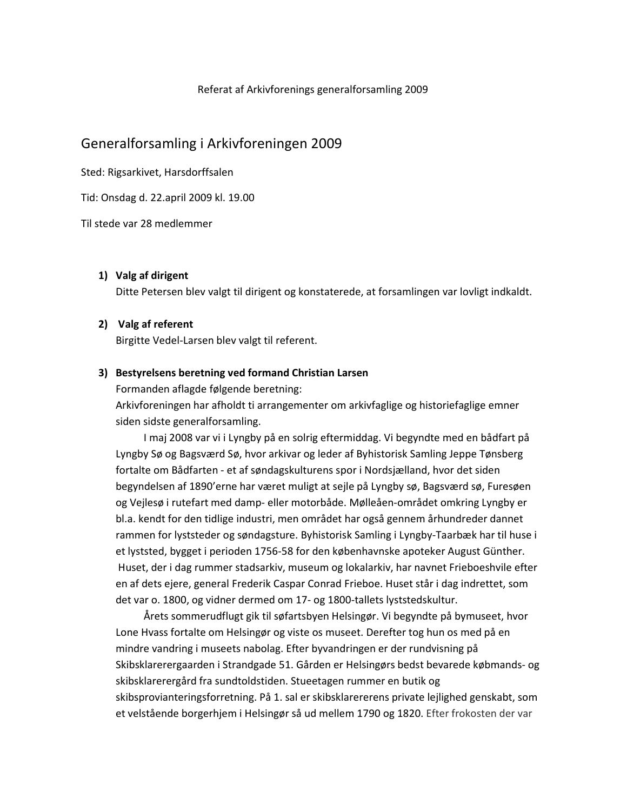#### Referat af Arkivforenings generalforsamling 2009

## Generalforsamling i Arkivforeningen 2009

Sted: Rigsarkivet, Harsdorffsalen

Tid: Onsdag d. 22.april 2009 kl. 19.00

Til stede var 28 medlemmer

### 1) Valg af dirigent

Ditte Petersen blev valgt til dirigent og konstaterede, at forsamlingen var lovligt indkaldt.

### 2) Valg af referent

Birgitte Vedel-Larsen blev valgt til referent.

### 3) Bestyrelsens beretning ved formand Christian Larsen

Formanden aflagde følgende beretning:

Arkivforeningen har afholdt ti arrangementer om arkivfaglige og historiefaglige emner siden sidste generalforsamling.

I maj 2008 var vi i Lyngby på en solrig eftermiddag. Vi begyndte med en bådfart på Lyngby Sø og Bagsværd Sø, hvor arkivar og leder af Byhistorisk Samling Jeppe Tønsberg fortalte om Bådfarten - et af søndagskulturens spor i Nordsjælland, hvor det siden begyndelsen af 1890'erne har været muligt at sejle på Lyngby sø, Bagsværd sø, Furesøen og Vejlesø i rutefart med damp- eller motorbåde. Mølleåen-området omkring Lyngby er bl.a. kendt for den tidlige industri, men området har også gennem århundreder dannet rammen for lyststeder og søndagsture. Byhistorisk Samling i Lyngby-Taarbæk har til huse i et lyststed, bygget i perioden 1756-58 for den københavnske apoteker August Günther. Huset, der i dag rummer stadsarkiv, museum og lokalarkiv, har navnet Frieboeshvile efter en af dets ejere, general Frederik Caspar Conrad Frieboe. Huset står i dag indrettet, som det var o. 1800, og vidner dermed om 17- og 1800-tallets lyststedskultur.

Årets sommerudflugt gik til søfartsbyen Helsingør. Vi begyndte på bymuseet, hvor Lone Hyass fortalte om Helsingør og viste os museet. Derefter tog hun os med på en mindre vandring i museets nabolag. Efter byvandringen er der rundvisning på Skibsklarerergaarden i Strandgade 51. Gården er Helsingørs bedst bevarede købmands- og skibsklarerergård fra sundtoldstiden. Stueetagen rummer en butik og skibsprovianteringsforretning. På 1. sal er skibsklarererens private lejlighed genskabt, som et velstående borgerhjem i Helsingør så ud mellem 1790 og 1820. Efter frokosten der var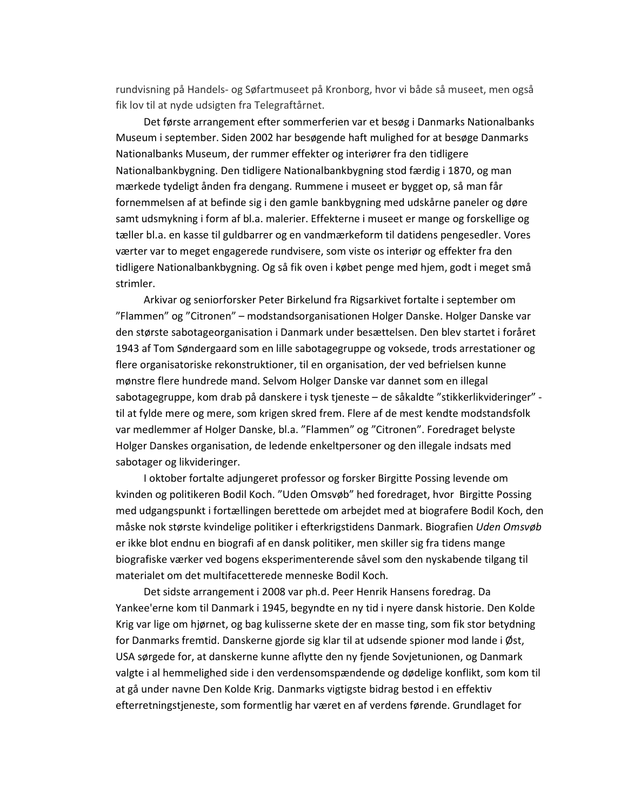rundvisning på Handels- og Søfartmuseet på Kronborg, hvor vi både så museet, men også fik lov til at nyde udsigten fra Telegraftårnet.

Det første arrangement efter sommerferien var et besøg i Danmarks Nationalbanks Museum i september. Siden 2002 har besøgende haft mulighed for at besøge Danmarks Nationalbanks Museum, der rummer effekter og interiører fra den tidligere Nationalbankbygning. Den tidligere Nationalbankbygning stod færdig i 1870, og man mærkede tydeligt ånden fra dengang. Rummene i museet er bygget op, så man får fornemmelsen af at befinde sig i den gamle bankbygning med udskårne paneler og døre samt udsmykning i form af bl.a. malerier. Effekterne i museet er mange og forskellige og tæller bl.a. en kasse til guldbarrer og en vandmærkeform til datidens pengesedler. Vores værter var to meget engagerede rundvisere, som viste os interiør og effekter fra den tidligere Nationalbankbygning. Og så fik oven i købet penge med hjem, godt i meget små strimler.

Arkivar og seniorforsker Peter Birkelund fra Rigsarkivet fortalte i september om "Flammen" og "Citronen" – modstandsorganisationen Holger Danske. Holger Danske var den største sabotageorganisation i Danmark under besættelsen. Den blev startet i foråret 1943 af Tom Søndergaard som en lille sabotagegruppe og voksede, trods arrestationer og flere organisatoriske rekonstruktioner, til en organisation, der ved befrielsen kunne mønstre flere hundrede mand. Selvom Holger Danske var dannet som en illegal sabotagegruppe, kom drab på danskere i tysk tjeneste – de såkaldte "stikkerlikvideringer" til at fylde mere og mere, som krigen skred frem. Flere af de mest kendte modstandsfolk var medlemmer af Holger Danske, bl.a. "Flammen" og "Citronen". Foredraget belyste Holger Danskes organisation, de ledende enkeltpersoner og den illegale indsats med sabotager og likvideringer.

I oktober fortalte adjungeret professor og forsker Birgitte Possing levende om kvinden og politikeren Bodil Koch. "Uden Omsvøb" hed foredraget, hvor Birgitte Possing med udgangspunkt i fortællingen berettede om arbejdet med at biografere Bodil Koch, den måske nok største kvindelige politiker i efterkrigstidens Danmark. Biografien Uden Omsvøb er ikke blot endnu en biografi af en dansk politiker, men skiller sig fra tidens mange biografiske værker ved bogens eksperimenterende såvel som den nyskabende tilgang til materialet om det multifacetterede menneske Bodil Koch.

Det sidste arrangement i 2008 var ph.d. Peer Henrik Hansens foredrag. Da Yankee'erne kom til Danmark i 1945, begyndte en ny tid i nyere dansk historie. Den Kolde Krig var lige om hjørnet, og bag kulisserne skete der en masse ting, som fik stor betydning for Danmarks fremtid. Danskerne gjorde sig klar til at udsende spioner mod lande i Øst, USA sørgede for, at danskerne kunne aflytte den ny fjende Sovjetunionen, og Danmark valgte i al hemmelighed side i den verdensomspændende og dødelige konflikt, som kom til at gå under navne Den Kolde Krig. Danmarks vigtigste bidrag bestod i en effektiv efterretningstieneste, som formentlig har været en af verdens førende. Grundlaget for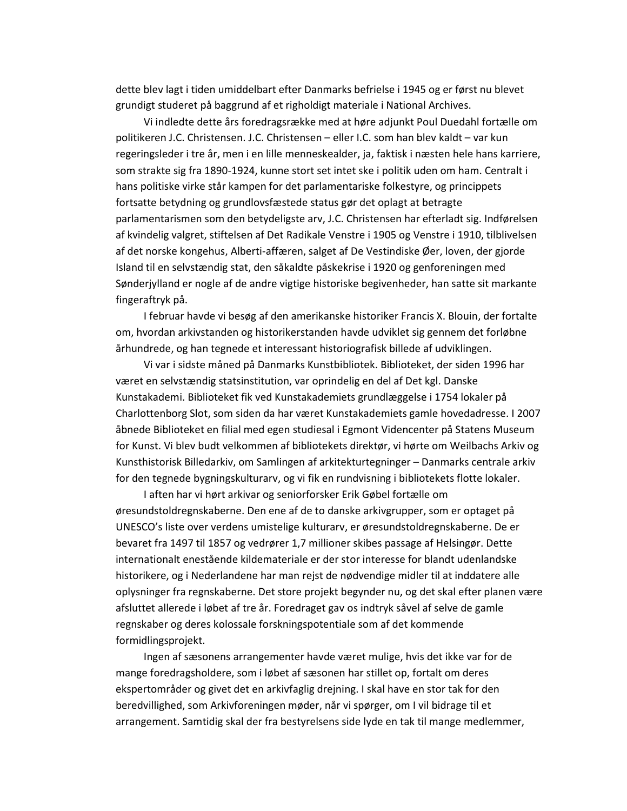dette blev lagt i tiden umiddelbart efter Danmarks befrielse i 1945 og er først nu blevet grundigt studeret på baggrund af et righoldigt materiale i National Archives.

Vi indledte dette års foredragsrække med at høre adjunkt Poul Duedahl fortælle om politikeren J.C. Christensen. J.C. Christensen - eller I.C. som han blev kaldt - var kun regeringsleder i tre år, men i en lille menneskealder, ja, faktisk i næsten hele hans karriere, som strakte sig fra 1890-1924, kunne stort set intet ske i politik uden om ham. Centralt i hans politiske virke står kampen for det parlamentariske folkestyre, og princippets fortsatte betydning og grundlovsfæstede status gør det oplagt at betragte parlamentarismen som den betydeligste arv, J.C. Christensen har efterladt sig. Indførelsen af kvindelig valgret, stiftelsen af Det Radikale Venstre i 1905 og Venstre i 1910, tilblivelsen af det norske kongehus, Alberti-affæren, salget af De Vestindiske Øer, loven, der gjorde Island til en selvstændig stat, den såkaldte påskekrise i 1920 og genforeningen med Sønderjylland er nogle af de andre vigtige historiske begivenheder, han satte sit markante fingeraftryk på.

I februar havde vi besøg af den amerikanske historiker Francis X. Blouin, der fortalte om, hvordan arkivstanden og historikerstanden havde udviklet sig gennem det forløbne århundrede, og han tegnede et interessant historiografisk billede af udviklingen.

Vi var i sidste måned på Danmarks Kunstbibliotek. Biblioteket, der siden 1996 har været en selvstændig statsinstitution, var oprindelig en del af Det kgl. Danske Kunstakademi. Biblioteket fik ved Kunstakademiets grundlæggelse i 1754 lokaler på Charlottenborg Slot, som siden da har været Kunstakademiets gamle hovedadresse. I 2007 åbnede Biblioteket en filial med egen studiesal i Egmont Videncenter på Statens Museum for Kunst. Vi blev budt velkommen af bibliotekets direktør, vi hørte om Weilbachs Arkiv og Kunsthistorisk Billedarkiv, om Samlingen af arkitekturtegninger - Danmarks centrale arkiv for den tegnede bygningskulturarv, og vi fik en rundvisning i bibliotekets flotte lokaler.

I aften har vi hørt arkivar og seniorforsker Erik Gøbel fortælle om øresundstoldregnskaberne. Den ene af de to danske arkivgrupper, som er optaget på UNESCO's liste over verdens umistelige kulturarv, er øresundstoldregnskaberne. De er bevaret fra 1497 til 1857 og vedrører 1,7 millioner skibes passage af Helsingør. Dette internationalt enestående kildemateriale er der stor interesse for blandt udenlandske historikere, og i Nederlandene har man rejst de nødvendige midler til at inddatere alle oplysninger fra regnskaberne. Det store projekt begynder nu, og det skal efter planen være afsluttet allerede i løbet af tre år. Foredraget gav os indtryk såvel af selve de gamle regnskaber og deres kolossale forskningspotentiale som af det kommende formidlingsprojekt.

Ingen af sæsonens arrangementer havde været mulige, hvis det ikke var for de mange foredragsholdere, som i løbet af sæsonen har stillet op, fortalt om deres ekspertområder og givet det en arkivfaglig drejning. I skal have en stor tak for den beredvillighed, som Arkivforeningen møder, når vi spørger, om I vil bidrage til et arrangement. Samtidig skal der fra bestyrelsens side lyde en tak til mange medlemmer,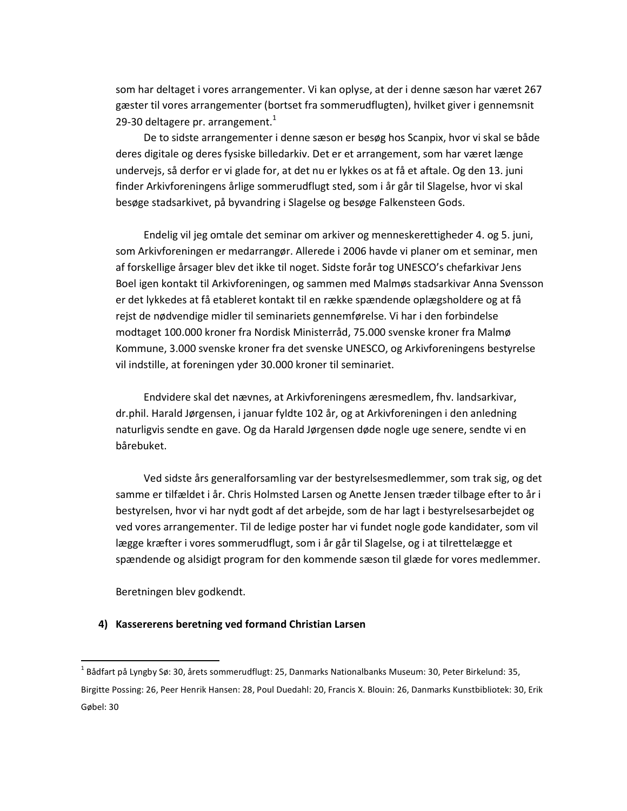som har deltaget i vores arrangementer. Vi kan oplyse, at der i denne sæson har været 267 gæster til vores arrangementer (bortset fra sommerudflugten), hvilket giver i gennemsnit 29-30 deltagere pr. arrangement. $<sup>1</sup>$ </sup>

De to sidste arrangementer i denne sæson er besøg hos Scanpix, hvor vi skal se både deres digitale og deres fysiske billedarkiv. Det er et arrangement, som har været længe undervejs, så derfor er vi glade for, at det nu er lykkes os at få et aftale. Og den 13. juni finder Arkivforeningens årlige sommerudflugt sted, som i år går til Slagelse, hvor vi skal besøge stadsarkivet, på byvandring i Slagelse og besøge Falkensteen Gods.

Endelig vil jeg omtale det seminar om arkiver og menneskerettigheder 4. og 5. juni, som Arkivforeningen er medarrangør. Allerede i 2006 havde vi planer om et seminar, men af forskellige årsager blev det ikke til noget. Sidste forår tog UNESCO's chefarkivar Jens Boel igen kontakt til Arkivforeningen, og sammen med Malmøs stadsarkivar Anna Svensson er det lykkedes at få etableret kontakt til en række spændende oplægsholdere og at få rejst de nødvendige midler til seminariets gennemførelse. Vi har i den forbindelse modtaget 100.000 kroner fra Nordisk Ministerråd, 75.000 svenske kroner fra Malmø Kommune, 3.000 svenske kroner fra det svenske UNESCO, og Arkivforeningens bestyrelse vil indstille, at foreningen yder 30.000 kroner til seminariet.

Endvidere skal det nævnes, at Arkivforeningens æresmedlem, fhv. landsarkivar, dr.phil. Harald Jørgensen, i januar fyldte 102 år, og at Arkivforeningen i den anledning naturligvis sendte en gave. Og da Harald Jørgensen døde nogle uge senere, sendte vi en bårebuket.

Ved sidste års generalforsamling var der bestyrelsesmedlemmer, som trak sig, og det samme er tilfældet i år. Chris Holmsted Larsen og Anette Jensen træder tilbage efter to år i bestyrelsen, hvor vi har nydt godt af det arbejde, som de har lagt i bestyrelsesarbejdet og ved vores arrangementer. Til de ledige poster har vi fundet nogle gode kandidater, som vil lægge kræfter i vores sommerudflugt, som i år går til Slagelse, og i at tilrettelægge et spændende og alsidigt program for den kommende sæson til glæde for vores medlemmer.

Beretningen blev godkendt.

### 4) Kassererens beretning ved formand Christian Larsen

 $^1$  Bådfart på Lyngby Sø: 30, årets sommerudflugt: 25, Danmarks Nationalbanks Museum: 30, Peter Birkelund: 35, Birgitte Possing: 26, Peer Henrik Hansen: 28, Poul Duedahl: 20, Francis X. Blouin: 26, Danmarks Kunstbibliotek: 30, Erik Gøbel: 30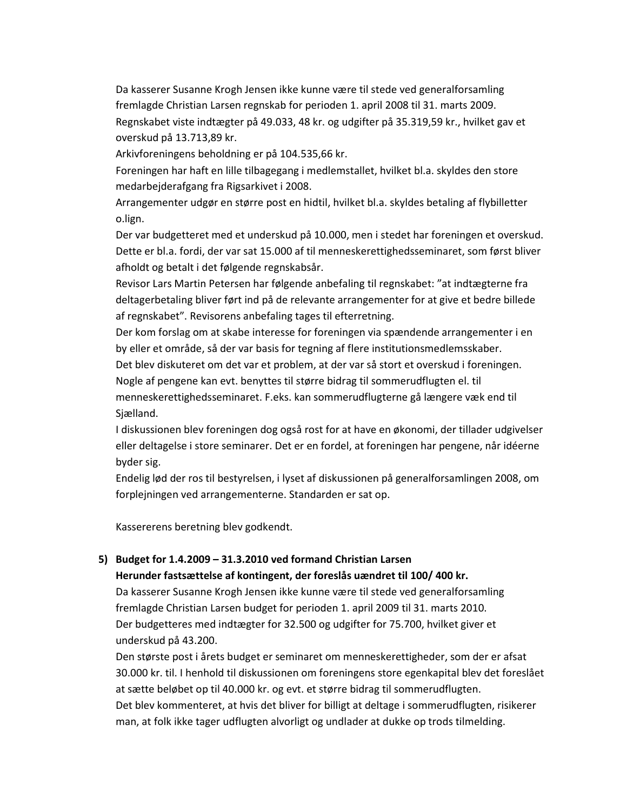Da kasserer Susanne Krogh Jensen ikke kunne være til stede ved generalforsamling fremlagde Christian Larsen regnskab for perioden 1. april 2008 til 31. marts 2009. Regnskabet viste indtægter på 49.033, 48 kr. og udgifter på 35.319,59 kr., hvilket gav et overskud på 13.713,89 kr.

Arkivforeningens beholdning er på 104.535,66 kr.

Foreningen har haft en lille tilbagegang i medlemstallet, hvilket bl.a. skyldes den store medarbejderafgang fra Rigsarkivet i 2008.

Arrangementer udgør en større post en hidtil, hvilket bl.a. skyldes betaling af flybilletter o.lign.

Der var budgetteret med et underskud på 10.000, men i stedet har foreningen et overskud. Dette er bl.a. fordi, der var sat 15.000 af til menneskerettighedsseminaret, som først bliver afholdt og betalt i det følgende regnskabsår.

Revisor Lars Martin Petersen har følgende anbefaling til regnskabet: "at indtægterne fra deltagerbetaling bliver ført ind på de relevante arrangementer for at give et bedre billede af regnskabet". Revisorens anbefaling tages til efterretning.

Der kom forslag om at skabe interesse for foreningen via spændende arrangementer i en by eller et område, så der var basis for tegning af flere institutionsmedlemsskaber.

Det blev diskuteret om det var et problem, at der var så stort et overskud i foreningen.

Nogle af pengene kan evt. benyttes til større bidrag til sommerudflugten el. til

menneskerettighedsseminaret. F.eks. kan sommerudflugterne gå længere væk end til Sjælland.

I diskussionen blev foreningen dog også rost for at have en økonomi, der tillader udgivelser eller deltagelse i store seminarer. Det er en fordel, at foreningen har pengene, når idéerne byder sig.

Endelig lød der ros til bestyrelsen, i lyset af diskussionen på generalforsamlingen 2008, om forplejningen ved arrangementerne. Standarden er sat op.

Kassererens beretning blev godkendt.

# 5) Budget for 1.4.2009 - 31.3.2010 ved formand Christian Larsen

## Herunder fastsættelse af kontingent, der foreslås uændret til 100/400 kr.

Da kasserer Susanne Krogh Jensen ikke kunne være til stede ved generalforsamling fremlagde Christian Larsen budget for perioden 1. april 2009 til 31. marts 2010. Der budgetteres med indtægter for 32.500 og udgifter for 75.700, hvilket giver et underskud på 43.200.

Den største post i årets budget er seminaret om menneskerettigheder, som der er afsat 30.000 kr. til. I henhold til diskussionen om foreningens store egenkapital blev det foreslået at sætte beløbet op til 40.000 kr. og evt. et større bidrag til sommerudflugten. Det blev kommenteret, at hvis det bliver for billigt at deltage i sommerudflugten, risikerer man, at folk ikke tager udflugten alvorligt og undlader at dukke op trods tilmelding.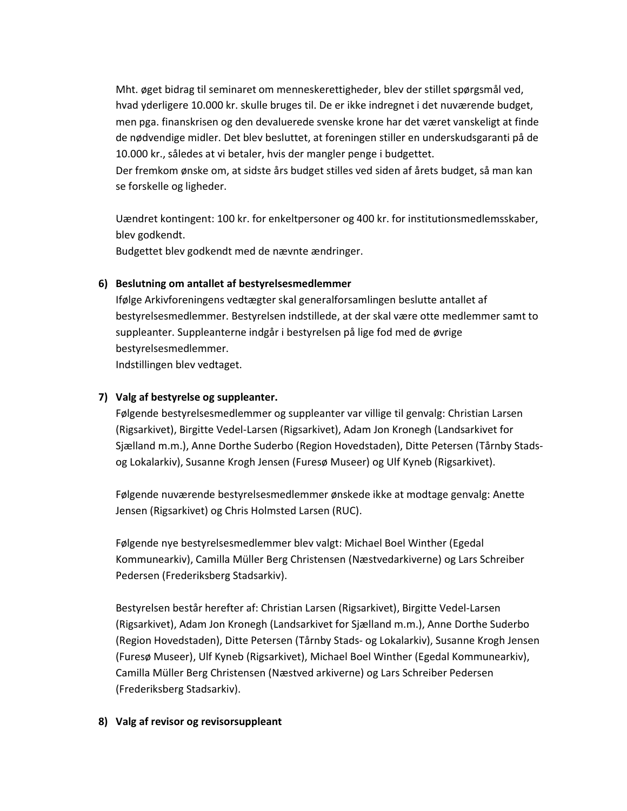Mht. øget bidrag til seminaret om menneskerettigheder, blev der stillet spørgsmål ved, hvad yderligere 10.000 kr. skulle bruges til. De er ikke indregnet i det nuværende budget, men pga. finanskrisen og den devaluerede svenske krone har det været vanskeligt at finde de nødvendige midler. Det blev besluttet, at foreningen stiller en underskudsgaranti på de 10.000 kr., således at vi betaler, hvis der mangler penge i budgettet.

Der fremkom ønske om, at sidste års budget stilles ved siden af årets budget, så man kan se forskelle og ligheder.

Uændret kontingent: 100 kr. for enkeltpersoner og 400 kr. for institutionsmedlemsskaber, blev godkendt.

Budgettet blev godkendt med de nævnte ændringer.

## 6) Beslutning om antallet af bestyrelsesmedlemmer

Ifølge Arkivforeningens vedtægter skal generalforsamlingen beslutte antallet af bestyrelsesmedlemmer. Bestyrelsen indstillede, at der skal være otte medlemmer samt to suppleanter. Suppleanterne indgår i bestyrelsen på lige fod med de øvrige bestyrelsesmedlemmer. Indstillingen blev vedtaget.

## 7) Valg af bestyrelse og suppleanter.

Følgende bestyrelsesmedlemmer og suppleanter var villige til genvalg: Christian Larsen (Rigsarkivet), Birgitte Vedel-Larsen (Rigsarkivet), Adam Jon Kronegh (Landsarkivet for Siælland m.m.), Anne Dorthe Suderbo (Region Hovedstaden), Ditte Petersen (Tårnby Stadsog Lokalarkiv), Susanne Krogh Jensen (Furesø Museer) og Ulf Kyneb (Rigsarkivet).

Følgende nuværende bestyrelsesmedlemmer ønskede ikke at modtage genvalg: Anette Jensen (Rigsarkivet) og Chris Holmsted Larsen (RUC).

Følgende nye bestyrelsesmedlemmer blev valgt: Michael Boel Winther (Egedal Kommunearkiv), Camilla Müller Berg Christensen (Næstvedarkiverne) og Lars Schreiber Pedersen (Frederiksberg Stadsarkiv).

Bestyrelsen består herefter af: Christian Larsen (Rigsarkivet), Birgitte Vedel-Larsen (Rigsarkivet), Adam Jon Kronegh (Landsarkivet for Sjælland m.m.), Anne Dorthe Suderbo (Region Hovedstaden), Ditte Petersen (Tårnby Stads- og Lokalarkiv), Susanne Krogh Jensen (Furesø Museer), Ulf Kyneb (Rigsarkivet), Michael Boel Winther (Egedal Kommunearkiv), Camilla Müller Berg Christensen (Næstved arkiverne) og Lars Schreiber Pedersen (Frederiksberg Stadsarkiv).

## 8) Valg af revisor og revisorsuppleant